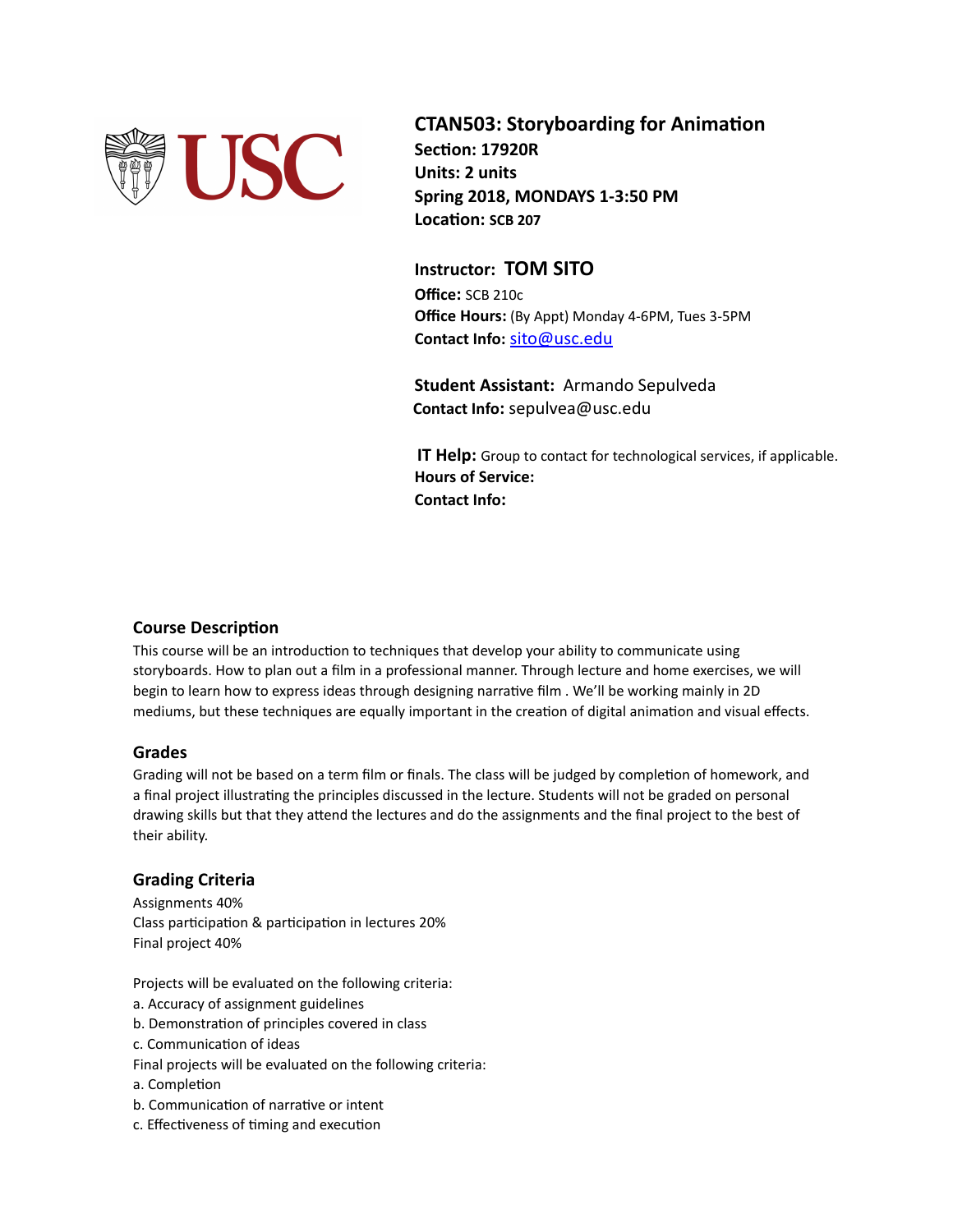

**CTAN503: Storyboarding for Animation Section: 17920R Units: 2 units Spring 2018, MONDAYS 1-3:50 PM Location: SCB 207**

## **Instructor: TOM SITO**

**Office:** SCB 210c **Office Hours:** (By Appt) Monday 4-6PM, Tues 3-5PM **Contact Info:** [sito@usc.edu](mailto:sito@usc.edu)

**Student Assistant:** Armando Sepulveda  **Contact Info:** sepulvea@usc.edu

**IT Help:** Group to contact for technological services, if applicable. **Hours of Service: Contact Info:**

## **Course Description**

This course will be an introduction to techniques that develop your ability to communicate using storyboards. How to plan out a film in a professional manner. Through lecture and home exercises, we will begin to learn how to express ideas through designing narrative film . We'll be working mainly in 2D mediums, but these techniques are equally important in the creation of digital animation and visual effects.

## **Grades**

Grading will not be based on a term film or finals. The class will be judged by completion of homework, and a final project illustrating the principles discussed in the lecture. Students will not be graded on personal drawing skills but that they attend the lectures and do the assignments and the final project to the best of their ability.

## **Grading Criteria**

Assignments 40% Class participation & participation in lectures 20% Final project 40%

Projects will be evaluated on the following criteria:

- a. Accuracy of assignment guidelines
- b. Demonstration of principles covered in class
- c. Communication of ideas
- Final projects will be evaluated on the following criteria:
- a. Completion
- b. Communication of narrative or intent
- c. Effectiveness of timing and execution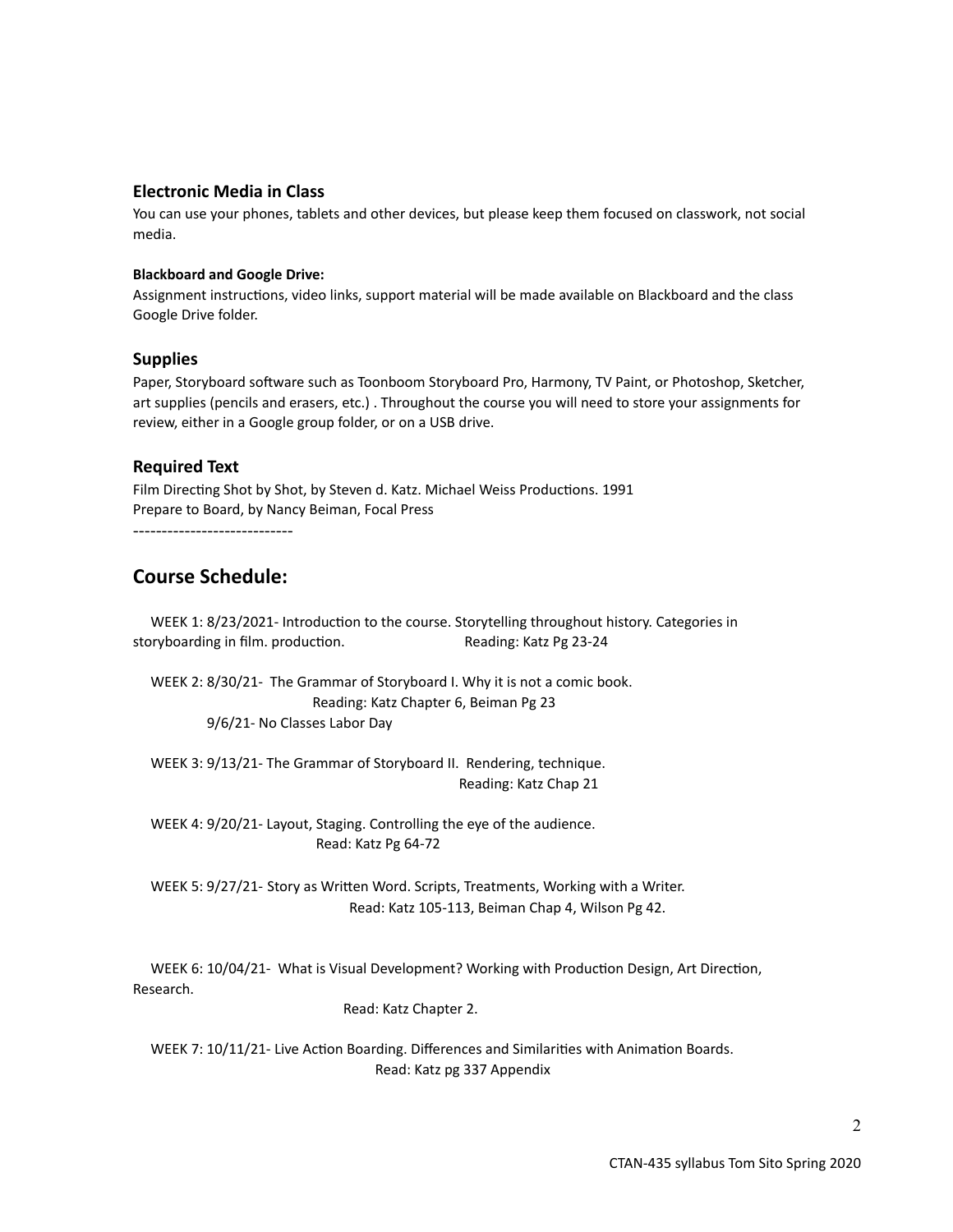### **Electronic Media in Class**

You can use your phones, tablets and other devices, but please keep them focused on classwork, not social media.

#### **Blackboard and Google Drive:**

Assignment instructions, video links, support material will be made available on Blackboard and the class Google Drive folder.

#### **Supplies**

Paper, Storyboard software such as Toonboom Storyboard Pro, Harmony, TV Paint, or Photoshop, Sketcher, art supplies (pencils and erasers, etc.) . Throughout the course you will need to store your assignments for review, either in a Google group folder, or on a USB drive.

#### **Required Text**

Film Directing Shot by Shot, by Steven d. Katz. Michael Weiss Productions. 1991 Prepare to Board, by Nancy Beiman, Focal Press

----------------------------

# **Course Schedule:**

 WEEK 1: 8/23/2021- Introduction to the course. Storytelling throughout history. Categories in storyboarding in film. production. The Reading: Katz Pg 23-24

 WEEK 2: 8/30/21- The Grammar of Storyboard I. Why it is not a comic book. Reading: Katz Chapter 6, Beiman Pg 23 9/6/21- No Classes Labor Day

 WEEK 3: 9/13/21- The Grammar of Storyboard II. Rendering, technique. Reading: Katz Chap 21

 WEEK 4: 9/20/21- Layout, Staging. Controlling the eye of the audience. Read: Katz Pg 64-72

 WEEK 5: 9/27/21- Story as Written Word. Scripts, Treatments, Working with a Writer. Read: Katz 105-113, Beiman Chap 4, Wilson Pg 42.

 WEEK 6: 10/04/21- What is Visual Development? Working with Production Design, Art Direction, Research.

Read: Katz Chapter 2.

 WEEK 7: 10/11/21- Live Action Boarding. Differences and Similarities with Animation Boards. Read: Katz pg 337 Appendix

2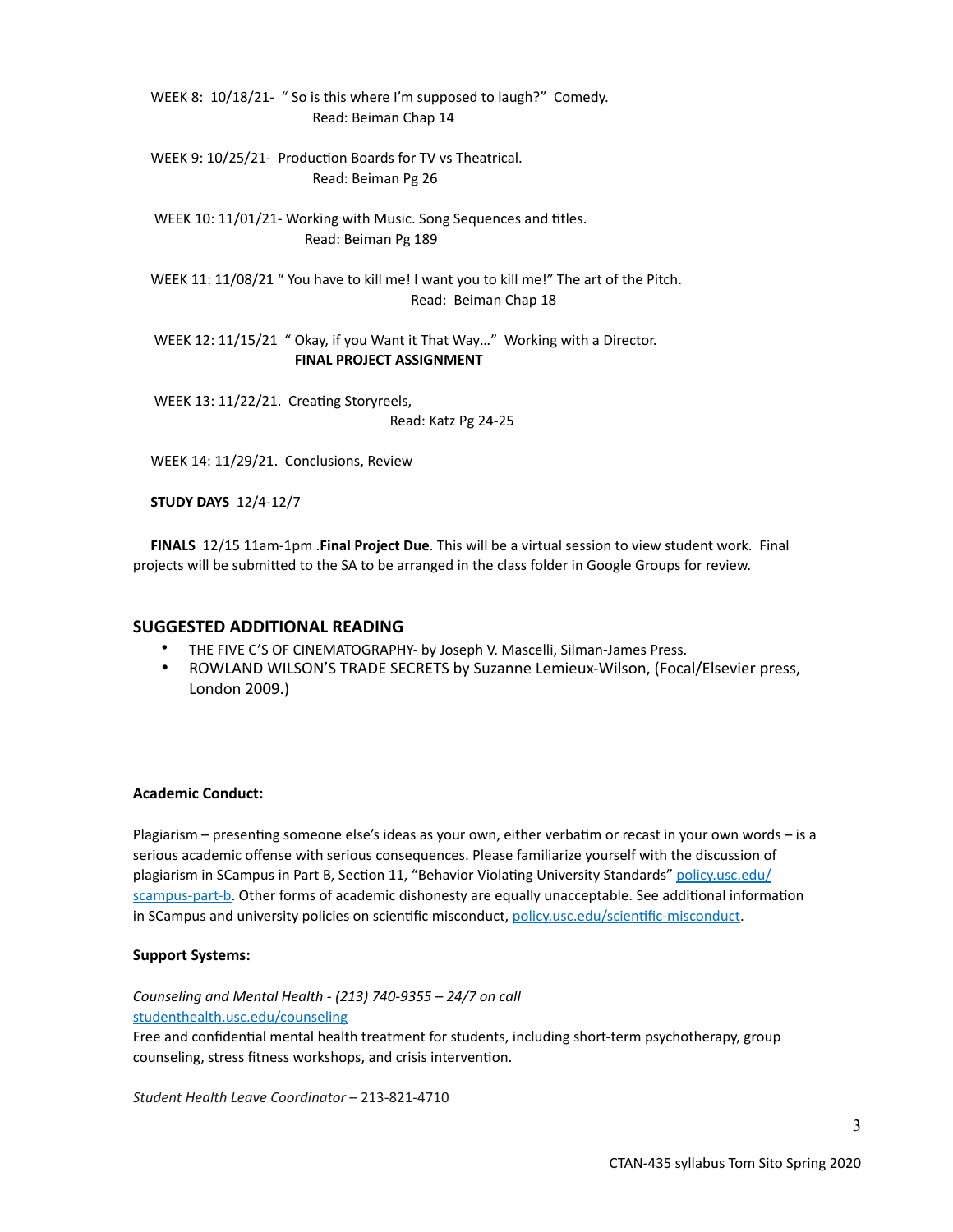WEEK 8: 10/18/21- " So is this where I'm supposed to laugh?" Comedy. Read: Beiman Chap 14

 WEEK 9: 10/25/21- Production Boards for TV vs Theatrical. Read: Beiman Pg 26

 WEEK 10: 11/01/21- Working with Music. Song Sequences and titles. Read: Beiman Pg 189

 WEEK 11: 11/08/21 " You have to kill me! I want you to kill me!" The art of the Pitch. Read: Beiman Chap 18

 WEEK 12: 11/15/21 " Okay, if you Want it That Way…" Working with a Director. **FINAL PROJECT ASSIGNMENT**

 WEEK 13: 11/22/21. Creating Storyreels, Read: Katz Pg 24-25

WEEK 14: 11/29/21. Conclusions, Review

**STUDY DAYS** 12/4-12/7

 **FINALS** 12/15 11am-1pm .**Final Project Due**. This will be a virtual session to view student work. Final projects will be submitted to the SA to be arranged in the class folder in Google Groups for review.

#### **SUGGESTED ADDITIONAL READING**

- THE FIVE C'S OF CINEMATOGRAPHY- by Joseph V. Mascelli, Silman-James Press.
- ROWLAND WILSON'S TRADE SECRETS by Suzanne Lemieux-Wilson, (Focal/Elsevier press, London 2009.)

#### **Academic Conduct:**

Plagiarism – presenting someone else's ideas as your own, either verbatim or recast in your own words – is a serious academic offense with serious consequences. Please familiarize yourself with the discussion of plagiarism in SCampus in Part B, Section 11, "Behavior Violating University Standards" [policy.usc.edu/](https://policy.usc.edu/scampus-part-b/) [scampus-part-b.](https://policy.usc.edu/scampus-part-b/) Other forms of academic dishonesty are equally unacceptable. See additional information in SCampus and university policies on scientific misconduct, [policy.usc.edu/scientific-misconduct.](http://policy.usc.edu/scientific-misconduct)

#### **Support Systems:**

*Counseling and Mental Health - (213) 740-9355 – 24/7 on call* [studenthealth.usc.edu/counseling](https://studenthealth.usc.edu/counseling/)

Free and confidential mental health treatment for students, including short-term psychotherapy, group counseling, stress fitness workshops, and crisis intervention.

*Student Health Leave Coordinator* – 213-821-4710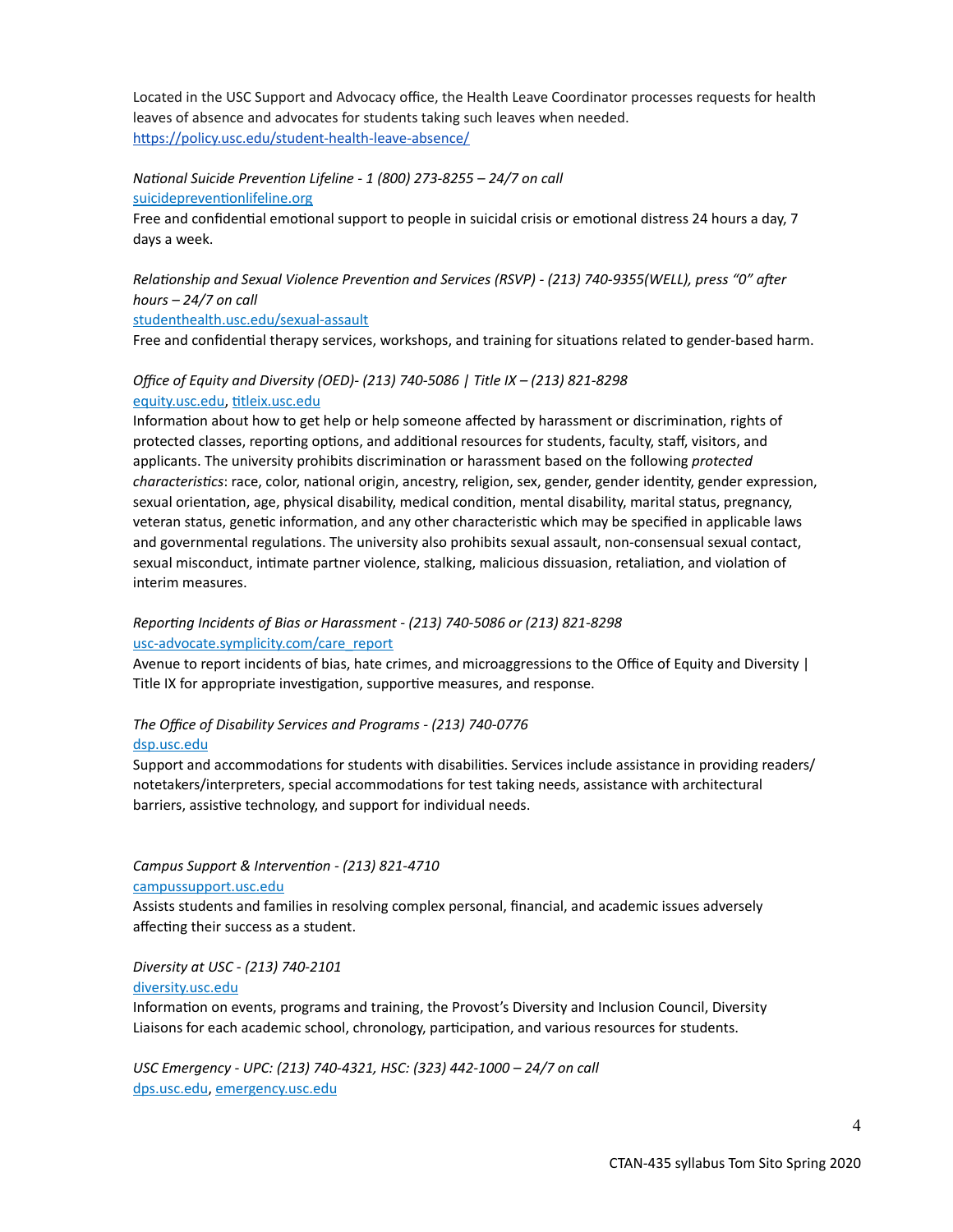Located in the USC Support and Advocacy office, the Health Leave Coordinator processes requests for health leaves of absence and advocates for students taking such leaves when needed. <https://policy.usc.edu/student-health-leave-absence/>

#### *National Suicide Prevention Lifeline - 1 (800) 273-8255 – 24/7 on call* [suicidepreventionlifeline.org](http://www.suicidepreventionlifeline.org/)

Free and confidential emotional support to people in suicidal crisis or emotional distress 24 hours a day, 7 days a week.

## *Relationship and Sexual Violence Prevention and Services (RSVP) - (213) 740-9355(WELL), press "0" after hours – 24/7 on call*

#### [studenthealth.usc.edu/sexual-assault](https://studenthealth.usc.edu/sexual-assault/)

Free and confidential therapy services, workshops, and training for situations related to gender-based harm.

# *Office of Equity and Diversity (OED)- (213) 740-5086 | Title IX – (213) 821-8298* [equity.usc.edu](https://equity.usc.edu/), [titleix.usc.edu](http://titleix.usc.edu)

Information about how to get help or help someone affected by harassment or discrimination, rights of protected classes, reporting options, and additional resources for students, faculty, staff, visitors, and applicants. The university prohibits discrimination or harassment based on the following *protected characteristics*: race, color, national origin, ancestry, religion, sex, gender, gender identity, gender expression, sexual orientation, age, physical disability, medical condition, mental disability, marital status, pregnancy, veteran status, genetic information, and any other characteristic which may be specified in applicable laws and governmental regulations. The university also prohibits sexual assault, non-consensual sexual contact, sexual misconduct, intimate partner violence, stalking, malicious dissuasion, retaliation, and violation of interim measures.

### *Reporting Incidents of Bias or Harassment - (213) 740-5086 or (213) 821-8298* [usc-advocate.symplicity.com/care\\_report](https://usc-advocate.symplicity.com/care_report/)

Avenue to report incidents of bias, hate crimes, and microaggressions to the Office of Equity and Diversity | Title IX for appropriate investigation, supportive measures, and response.

#### *The Office of Disability Services and Programs - (213) 740-0776* [dsp.usc.edu](http://dsp.usc.edu/)

Support and accommodations for students with disabilities. Services include assistance in providing readers/ notetakers/interpreters, special accommodations for test taking needs, assistance with architectural barriers, assistive technology, and support for individual needs.

# *Campus Support & Intervention - (213) 821-4710*

#### [campussupport.usc.edu](https://campussupport.usc.edu/)

Assists students and families in resolving complex personal, financial, and academic issues adversely affecting their success as a student.

#### *Diversity at USC - (213) 740-2101*

#### [diversity.usc.edu](https://diversity.usc.edu/)

Information on events, programs and training, the Provost's Diversity and Inclusion Council, Diversity Liaisons for each academic school, chronology, participation, and various resources for students.

*USC Emergency - UPC: (213) 740-4321, HSC: (323) 442-1000 – 24/7 on call*  [dps.usc.edu,](http://dps.usc.edu/) [emergency.usc.edu](http://emergency.usc.edu/)